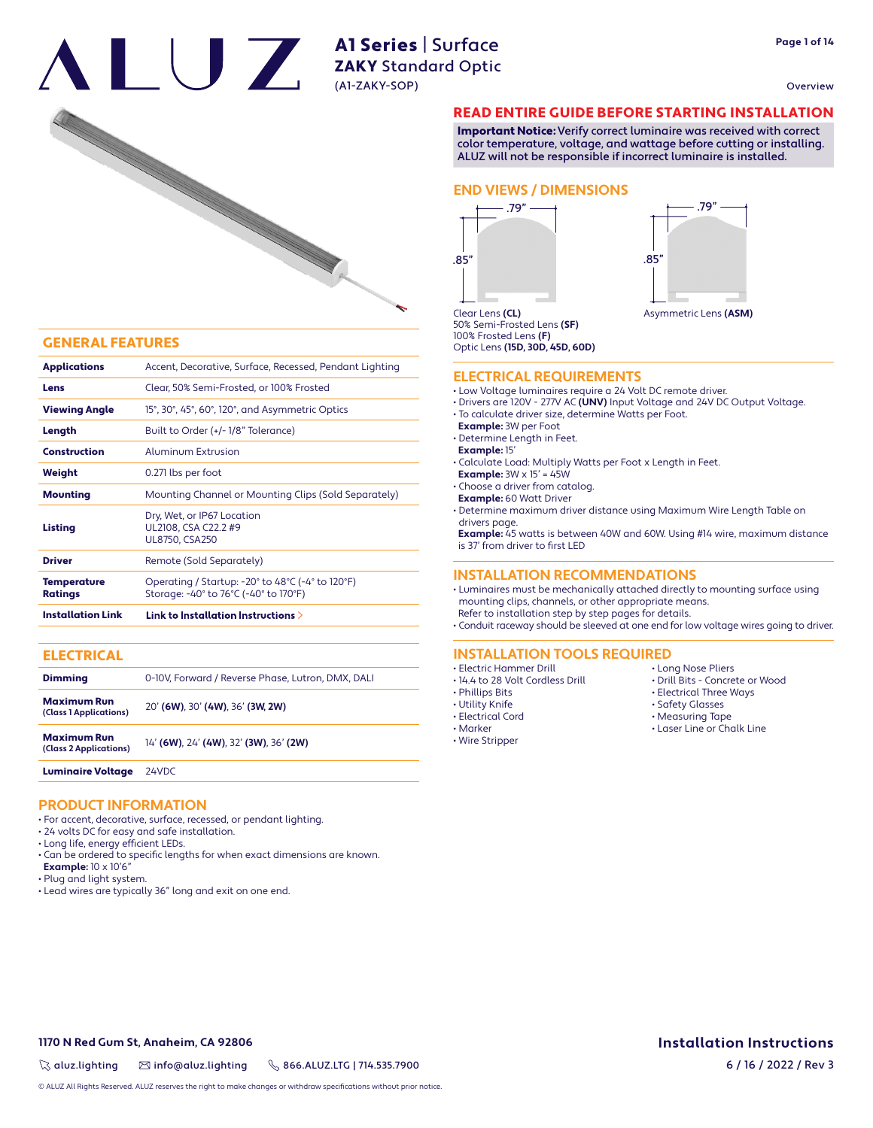Overview



#### GENERAL FEATURES

| <b>Applications</b>                  | Accent, Decorative, Surface, Recessed, Pendant Lighting                                   |  |  |  |  |
|--------------------------------------|-------------------------------------------------------------------------------------------|--|--|--|--|
|                                      |                                                                                           |  |  |  |  |
| Lens                                 | Clear, 50% Semi-Frosted, or 100% Frosted                                                  |  |  |  |  |
| <b>Viewing Angle</b>                 | 15°, 30°, 45°, 60°, 120°, and Asymmetric Optics                                           |  |  |  |  |
| Length                               | Built to Order (+/-1/8" Tolerance)                                                        |  |  |  |  |
| <b>Construction</b>                  | Aluminum Extrusion                                                                        |  |  |  |  |
| Weight                               | 0.271 lbs per foot                                                                        |  |  |  |  |
| <b>Mounting</b>                      | Mounting Channel or Mounting Clips (Sold Separately)                                      |  |  |  |  |
| Listing                              | Dry, Wet, or IP67 Location<br>UL2108, CSA C22.2 #9<br><b>UL8750, CSA250</b>               |  |  |  |  |
| <b>Driver</b>                        | Remote (Sold Separately)                                                                  |  |  |  |  |
| <b>Temperature</b><br><b>Ratings</b> | Operating / Startup: -20° to 48°C (-4° to 120°F)<br>Storage: -40° to 76°C (-40° to 170°F) |  |  |  |  |
| <b>Installation Link</b>             | Link to Installation Instructions $\geq$                                                  |  |  |  |  |

| <b>ELECTRICAL</b>                            |                                                   |
|----------------------------------------------|---------------------------------------------------|
| <b>Dimming</b>                               | 0-10V. Forward / Reverse Phase. Lutron. DMX. DALI |
| <b>Maximum Run</b><br>(Class 1 Applications) | 20' (6W), 30' (4W), 36' (3W, 2W)                  |
| <b>Maximum Run</b><br>(Class 2 Applications) | 14' (6W), 24' (4W), 32' (3W), 36' (2W)            |
| <b>Luminaire Voltage</b>                     | 24VDC                                             |

#### **PRODUCT INFORMATION**

- For accent, decorative, surface, recessed, or pendant lighting.
- 24 volts DC for easy and safe installation.
- Long life, energy efficient LEDs.
- Can be ordered to specific lengths for when exact dimensions are known.
- **Example:** 10 x 10'6"
- Plug and light system.
- Lead wires are typically 36" long and exit on one end.

### READ ENTIRE GUIDE BEFORE STARTING INSTALLATION

Important Notice: Verify correct luminaire was received with correct color temperature, voltage, and wattage before cutting or installing. ALUZ will not be responsible if incorrect luminaire is installed.

#### **END VIEWS / DIMENSIONS**





50% Semi-Frosted Lens **(SF)** 100% Frosted Lens **(F)** Optic Lens **(15D, 30D, 45D, 60D)**

#### **ELECTRICAL REQUIREMENTS**

- Low Voltage luminaires require a 24 Volt DC remote driver.
- Drivers are 120V 277V AC **(UNV)** Input Voltage and 24V DC Output Voltage.
- To calculate driver size, determine Watts per Foot.
- **Example:** 3W per Foot

• Determine Length in Feet.

- **Example:** 15'
- Calculate Load: Multiply Watts per Foot x Length in Feet.
- **Example:**  $3W \times 15' = 45W$
- Choose a driver from catalog.
- **Example:** 60 Watt Driver
- Determine maximum driver distance using Maximum Wire Length Table on drivers page.

 **Example:** 45 watts is between 40W and 60W. Using #14 wire, maximum distance is 37' from driver to first LED

#### **INSTALLATION RECOMMENDATIONS**

• Luminaires must be mechanically attached directly to mounting surface using mounting clips, channels, or other appropriate means.

 Refer to installation step by step pages for details. • Conduit raceway should be sleeved at one end for low voltage wires going to driver.

#### **INSTALLATION TOOLS REQUIRED**

- Electric Hammer Drill
- 14.4 to 28 Volt Cordless Drill
- Phillips Bits
- Utility Knife
- Electrical Cord
- Marker • Wire Stripper

• Electrical Three Ways • Safety Glasses • Measuring Tape

• Long Nose Pliers • Drill Bits - Concrete or Wood

• Laser Line or Chalk Line

### **1170 N Red Gum St, Anaheim, CA 92806**

 $\%$  aluz.lighting  $\%$  info@aluz.lighting  $\%$  866.ALUZ.LTG | 714.535.7900

© ALUZ All Rights Reserved. ALUZ reserves the right to make changes or withdraw specifications without prior notice.

## **Installation Instructions**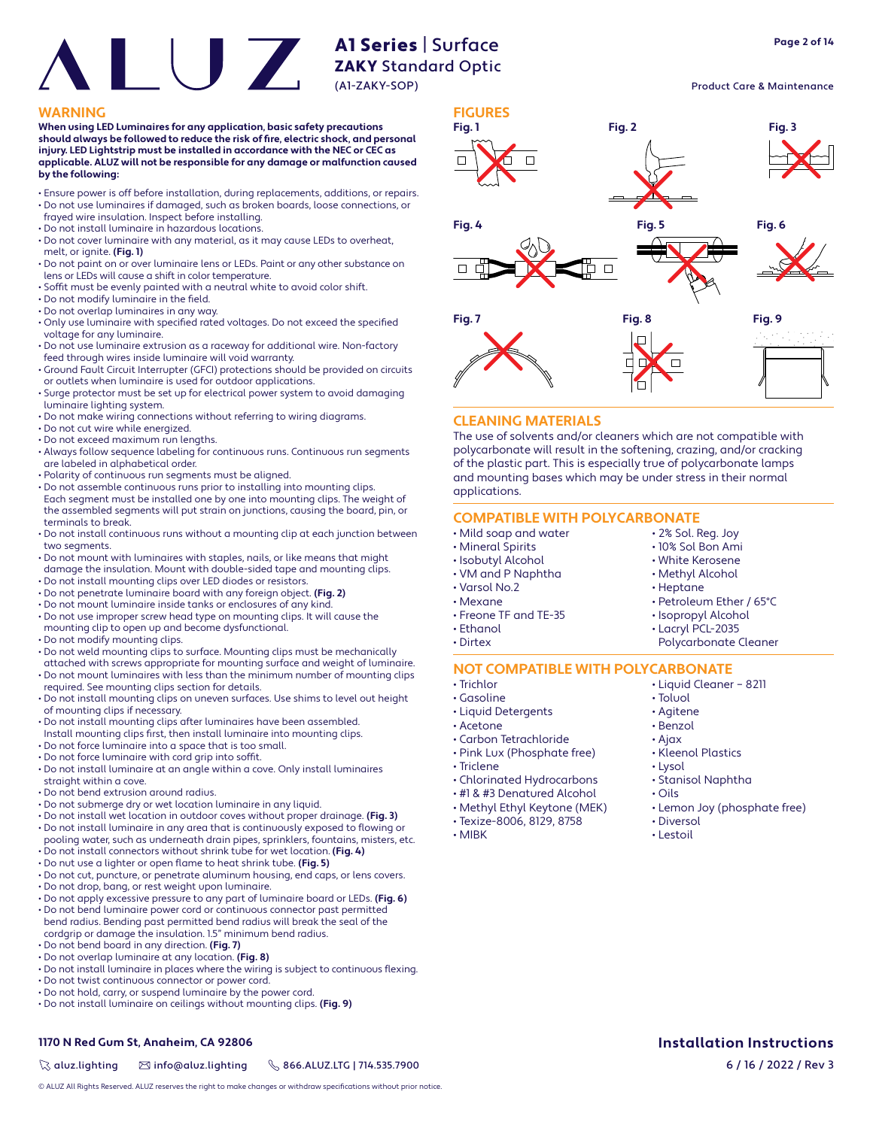### Product Care & Maintenance

#### **WARNING FIGURES**

**When using LED Luminaires for any application, basic safety precautions**  should always be followed to reduce the risk of fire, electric shock, and personal **injury. LED Lightstrip must be installed in accordance with the NEC or CEC as applicable. ALUZ will not be responsible for any damage or malfunction caused by the following:**

- Ensure power is off before installation, during replacements, additions, or repairs. • Do not use luminaires if damaged, such as broken boards, loose connections, or
- frayed wire insulation. Inspect before installing.
- Do not install luminaire in hazardous locations.
- Do not cover luminaire with any material, as it may cause LEDs to overheat, melt, or ignite. **(Fig. 1)**
- Do not paint on or over luminaire lens or LEDs. Paint or any other substance on lens or LEDs will cause a shift in color temperature.
- Soffit must be evenly painted with a neutral white to avoid color shift.
- $\cdot$  Do not modify luminaire in the field.
- Do not overlap luminaires in any way.
- Only use luminaire with specified rated voltages. Do not exceed the specified voltage for any luminaire.
- Do not use luminaire extrusion as a raceway for additional wire. Non-factory feed through wires inside luminaire will void warranty.
- Ground Fault Circuit Interrupter (GFCI) protections should be provided on circuits or outlets when luminaire is used for outdoor applications.
- Surge protector must be set up for electrical power system to avoid damaging luminaire lighting system.
- Do not make wiring connections without referring to wiring diagrams.
- Do not cut wire while energized.
- Do not exceed maximum run lengths.
- Always follow sequence labeling for continuous runs. Continuous run segments are labeled in alphabetical order.
- Polarity of continuous run segments must be aligned.
- Do not assemble continuous runs prior to installing into mounting clips. Each segment must be installed one by one into mounting clips. The weight of the assembled segments will put strain on junctions, causing the board, pin, or terminals to break.
- Do not install continuous runs without a mounting clip at each junction between two segments.
- Do not mount with luminaires with staples, nails, or like means that might damage the insulation. Mount with double-sided tape and mounting clips.
- Do not install mounting clips over LED diodes or resistors.
- Do not penetrate luminaire board with any foreign object. **(Fig. 2)**
- Do not mount luminaire inside tanks or enclosures of any kind.
- Do not use improper screw head type on mounting clips. It will cause the mounting clip to open up and become dysfunctional.
- Do not modify mounting clips.
- Do not weld mounting clips to surface. Mounting clips must be mechanically
- attached with screws appropriate for mounting surface and weight of luminaire. • Do not mount luminaires with less than the minimum number of mounting clips
- required. See mounting clips section for details. • Do not install mounting clips on uneven surfaces. Use shims to level out height
- of mounting clips if necessary.
- Do not install mounting clips after luminaires have been assembled.
- Install mounting clips first, then install luminaire into mounting clips. • Do not force luminaire into a space that is too small.
- Do not force luminaire with cord grip into soffit.
- Do not install luminaire at an angle within a cove. Only install luminaires straight within a cove.
- Do not bend extrusion around radius.
- Do not submerge dry or wet location luminaire in any liquid.
- Do not install wet location in outdoor coves without proper drainage. **(Fig. 3)** • Do not install luminaire in any area that is continuously exposed to flowing or
- pooling water, such as underneath drain pipes, sprinklers, fountains, misters, etc. • Do not install connectors without shrink tube for wet location. **(Fig. 4)**
- Do nut use a lighter or open flame to heat shrink tube. **(Fig. 5)**
- Do not cut, puncture, or penetrate aluminum housing, end caps, or lens covers.
- Do not drop, bang, or rest weight upon luminaire.
- Do not apply excessive pressure to any part of luminaire board or LEDs. **(Fig. 6)**
- Do not bend luminaire power cord or continuous connector past permitted bend radius. Bending past permitted bend radius will break the seal of the cordgrip or damage the insulation. 1.5" minimum bend radius.
- Do not bend board in any direction. **(Fig. 7)**
- Do not overlap luminaire at any location. **(Fig. 8)**
- Do not install luminaire in places where the wiring is subject to continuous flexing.
- Do not twist continuous connector or power cord.
- Do not hold, carry, or suspend luminaire by the power cord.
- Do not install luminaire on ceilings without mounting clips. **(Fig. 9)**

# **Fig. 1 Fig. 2 Fig. 3 Fig. 4 Fig. 5 Fig. 6**  $\Box$ **Fig. 7 Fig. 8 Fig. 9**

#### **CLEANING MATERIALS**

The use of solvents and/or cleaners which are not compatible with polycarbonate will result in the softening, crazing, and/or cracking of the plastic part. This is especially true of polycarbonate lamps and mounting bases which may be under stress in their normal applications.

#### **COMPATIBLE WITH POLYCARBONATE**

- Mild soap and water
- Mineral Spirits
- Isobutyl Alcohol
- VM and P Naphtha
- Varsol No.2
- Mexane
- Freone TF and TE-35
- Ethanol
- Dirtex
- 

#### **NOT COMPATIBLE WITH POLYCARBONATE**

- Trichlor
- Gasoline
- Liquid Detergents
- Acetone
- Carbon Tetrachloride • Pink Lux (Phosphate free)
- Triclene
- 
- Chlorinated Hydrocarbons
- #1 & #3 Denatured Alcohol
- Methyl Ethyl Keytone (MEK)
- Texize-8006, 8129, 8758
- MIBK

• Liquid Cleaner – 8211 • Toluol

• 2% Sol. Reg. Joy • 10% Sol Bon Ami • White Kerosene • Methyl Alcohol • Heptane

• Petroleum Ether / 65°C • Isopropyl Alcohol • Lacryl PCL-2035 Polycarbonate Cleaner

- Agitene
- Benzol
- Ajax
- Kleenol Plastics
- Lysol
- Stanisol Naphtha
- Oils
- Lemon Joy (phosphate free)
- Diversol
- Lestoil

 $\%$  aluz.lighting  $\%$  info@aluz.lighting  $\%$  866.ALUZ.LTG | 714.535.7900

© ALUZ All Rights Reserved. ALUZ reserves the right to make changes or withdraw specifications without prior notice.

**Installation Instructions**

**Page 2 of 14**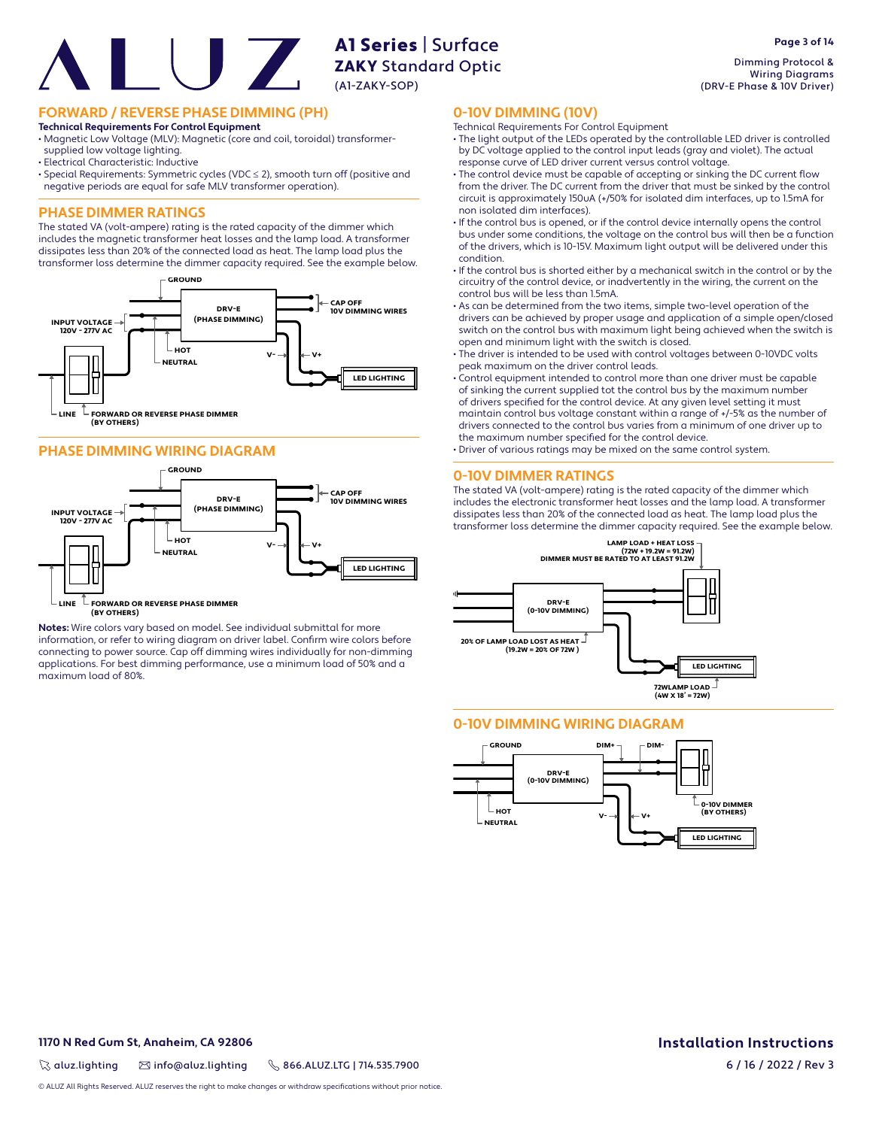**FORWARD / REVERSE PHASE DIMMING (PH)**

#### **Technical Requirements For Control Equipment**

• Magnetic Low Voltage (MLV): Magnetic (core and coil, toroidal) transformersupplied low voltage lighting.

- Electrical Characteristic: Inductive
- Special Requirements: Symmetric cycles (VDC ≤ 2), smooth turn off (positive and negative periods are equal for safe MLV transformer operation).

### **PHASE DIMMER RATINGS**

The stated VA (volt-ampere) rating is the rated capacity of the dimmer which includes the magnetic transformer heat losses and the lamp load. A transformer dissipates less than 20% of the connected load as heat. The lamp load plus the transformer loss determine the dimmer capacity required. See the example below.



#### **PHASE DIMMING WIRING DIAGRAM**



 $\mathbb L$  FORWARD OR REVERSE PHASE DIMMER **(BY OTHERS) LINE**

**Notes:** Wire colors vary based on model. See individual submittal for more information, or refer to wiring diagram on driver label. Confirm wire colors before connecting to power source. Cap off dimming wires individually for non-dimming applications. For best dimming performance, use a minimum load of 50% and a maximum load of 80%.

Dimming Protocol & Wiring Diagrams (DRV-E Phase & 10V Driver)

#### **0-10V DIMMING (10V)**

- Technical Requirements For Control Equipment
- The light output of the LEDs operated by the controllable LED driver is controlled by DC voltage applied to the control input leads (gray and violet). The actual response curve of LED driver current versus control voltage.
- The control device must be capable of accepting or sinking the DC current flow from the driver. The DC current from the driver that must be sinked by the control circuit is approximately 150uA (+/50% for isolated dim interfaces, up to 1.5mA for non isolated dim interfaces).
- If the control bus is opened, or if the control device internally opens the control bus under some conditions, the voltage on the control bus will then be a function of the drivers, which is 10-15V. Maximum light output will be delivered under this condition.
- If the control bus is shorted either by a mechanical switch in the control or by the circuitry of the control device, or inadvertently in the wiring, the current on the control bus will be less than 1.5mA.
- As can be determined from the two items, simple two-level operation of the drivers can be achieved by proper usage and application of a simple open/closed switch on the control bus with maximum light being achieved when the switch is open and minimum light with the switch is closed.
- The driver is intended to be used with control voltages between 0-10VDC volts peak maximum on the driver control leads.
- Control equipment intended to control more than one driver must be capable of sinking the current supplied tot the control bus by the maximum number of drivers specified for the control device. At any given level setting it must maintain control bus voltage constant within a range of +/-5% as the number of drivers connected to the control bus varies from a minimum of one driver up to the maximum number specified for the control device.
- Driver of various ratings may be mixed on the same control system.

#### **0-10V DIMMER RATINGS**

The stated VA (volt-ampere) rating is the rated capacity of the dimmer which includes the electronic transformer heat losses and the lamp load. A transformer dissipates less than 20% of the connected load as heat. The lamp load plus the transformer loss determine the dimmer capacity required. See the example below.



### **0-10V DIMMING WIRING DIAGRAM**



#### **1170 N Red Gum St, Anaheim, CA 92806**

 $\%$  aluz.lighting  $\%$  info@aluz.lighting  $\%$  866.ALUZ.LTG | 714.535.7900

© ALUZ All Rights Reserved. ALUZ reserves the right to make changes or withdraw specifications without prior notice

# **Installation Instructions**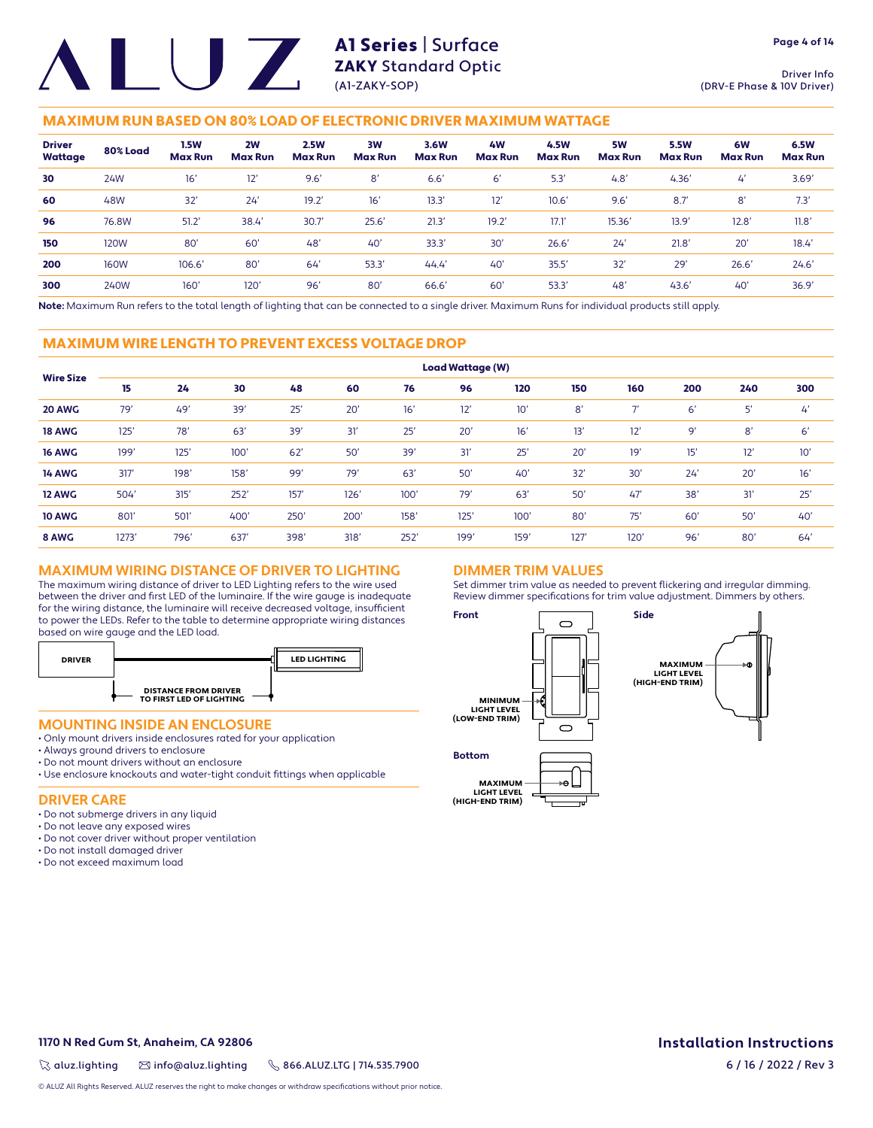**Page 4 of 14**

### MAXIMUM RUN BASED ON 80% LOAD OF ELECTRONIC DRIVER MAXIMUM WATTAGE

| <b>Driver</b><br>Wattage | 80% Load    | <b>1.5W</b><br><b>Max Run</b> | 2W<br><b>Max Run</b> | <b>2.5W</b><br><b>Max Run</b> | 3W<br><b>Max Run</b> | 3.6W<br><b>Max Run</b> | 4 <b>W</b><br><b>Max Run</b> | 4.5W<br><b>Max Run</b> | 5W<br><b>Max Run</b> | <b>5.5W</b><br><b>Max Run</b> | 6W<br><b>Max Run</b> | 6.5W<br><b>Max Run</b> |
|--------------------------|-------------|-------------------------------|----------------------|-------------------------------|----------------------|------------------------|------------------------------|------------------------|----------------------|-------------------------------|----------------------|------------------------|
| 30                       | 24W         | 16'                           | 12'                  | 9.6'                          | 8'                   | 6.6'                   | 6'                           | 5.3                    | 4.8'                 | 4.36'                         | $\mathcal{L}'$       | 3.69'                  |
| 60                       | 48W         | 32'                           | 24'                  | 19.2'                         | 16'                  | 13.3                   | 12'                          | 10.6'                  | 9.6'                 | 8.7'                          | 8'                   | 7.3'                   |
| 96                       | 76.8W       | 51.2'                         | 38.4                 | 30.7                          | 25.6'                | 21.3'                  | 19.2'                        | 17.1                   | 15.36'               | 13.9'                         | 12.8'                | 11.8'                  |
| 150                      | 120W        | 80'                           | 60'                  | 48 <sup>°</sup>               | 40'                  | 33.3'                  | 30'                          | 26.6'                  | 24'                  | 21.8'                         | 20'                  | 18.4'                  |
| 200                      | <b>160W</b> | 106.6'                        | 80'                  | 64                            | 53.3'                | 44.4'                  | 40'                          | 35.5'                  | 32'                  | 29'                           | 26.6'                | 24.6'                  |
| 300                      | 240W        | $160^\circ$                   | 120 <sup>°</sup>     | 96'                           | 80'                  | 66.6                   | 60'                          | 53.3                   | 48'                  | 43.6'                         | 40'                  | 36.9'                  |

**Note:** Maximum Run refers to the total length of lighting that can be connected to a single driver. Maximum Runs for individual products still apply.

#### MAXIMUM WIRE LENGTH TO PREVENT EXCESS VOLTAGE DROP

|                  | <b>Load Wattage (W)</b> |      |      |      |      |      |      |      |      |                          |     |     |     |
|------------------|-------------------------|------|------|------|------|------|------|------|------|--------------------------|-----|-----|-----|
| <b>Wire Size</b> | 15                      | 24   | 30   | 48   | 60   | 76   | 96   | 120  | 150  | 160                      | 200 | 240 | 300 |
| 20 AWG           | 79'                     | 49'  | 39'  | 25'  | 20'  | 16'  | 12'  | 10'  | 8'   | $\overline{\phantom{a}}$ | 6'  | 5'  | 4'  |
| <b>18 AWG</b>    | 125'                    | 78'  | 63'  | 39'  | 31'  | 25'  | 20'  | 16'  | 13'  | 12'                      | 9'  | 8'  | 6'  |
| <b>16 AWG</b>    | 199'                    | 125' | 100' | 62'  | 50'  | 39'  | 31'  | 25'  | 20'  | 19'                      | 15' | 12' | 10' |
| <b>14 AWG</b>    | 317'                    | 198' | 158' | 99'  | 79'  | 63'  | 50'  | 40'  | 32'  | 30'                      | 24' | 20' | 16' |
| 12 AWG           | 504'                    | 315' | 252' | 157' | 126' | 100' | 79'  | 63'  | 50'  | 47'                      | 38' | 31' | 25' |
| <b>10 AWG</b>    | 801                     | 501  | 400' | 250' | 200' | 158' | 125' | 100' | 80'  | 75'                      | 60' | 50' | 40' |
| 8 AWG            | 1273'                   | 796' | 637  | 398' | 318' | 252' | 199' | 159' | 127' | 120'                     | 96' | 80' | 64' |

#### **MAXIMUM WIRING DISTANCE OF DRIVER TO LIGHTING**

The maximum wiring distance of driver to LED Lighting refers to the wire used between the driver and first LED of the luminaire. If the wire gauge is inadequate for the wiring distance, the luminaire will receive decreased voltage, insufficient to power the LEDs. Refer to the table to determine appropriate wiring distances based on wire gauge and the LED load.



#### **MOUNTING INSIDE AN ENCLOSURE**

- Only mount drivers inside enclosures rated for your application
- Always ground drivers to enclosure
- Do not mount drivers without an enclosure
- Use enclosure knockouts and water-tight conduit fittings when applicable

#### **DRIVER CARE**

- Do not submerge drivers in any liquid
- Do not leave any exposed wires
- Do not cover driver without proper ventilation
- Do not install damaged driver
- Do not exceed maximum load

### **DIMMER TRIM VALUES**

Set dimmer trim value as needed to prevent flickering and irregular dimming. Review dimmer specifications for trim value adjustment. Dimmers by others.



**1170 N Red Gum St, Anaheim, CA 92806**

 $\%$  aluz.lighting  $\%$  info@aluz.lighting  $\%$  866.ALUZ.LTG | 714.535.7900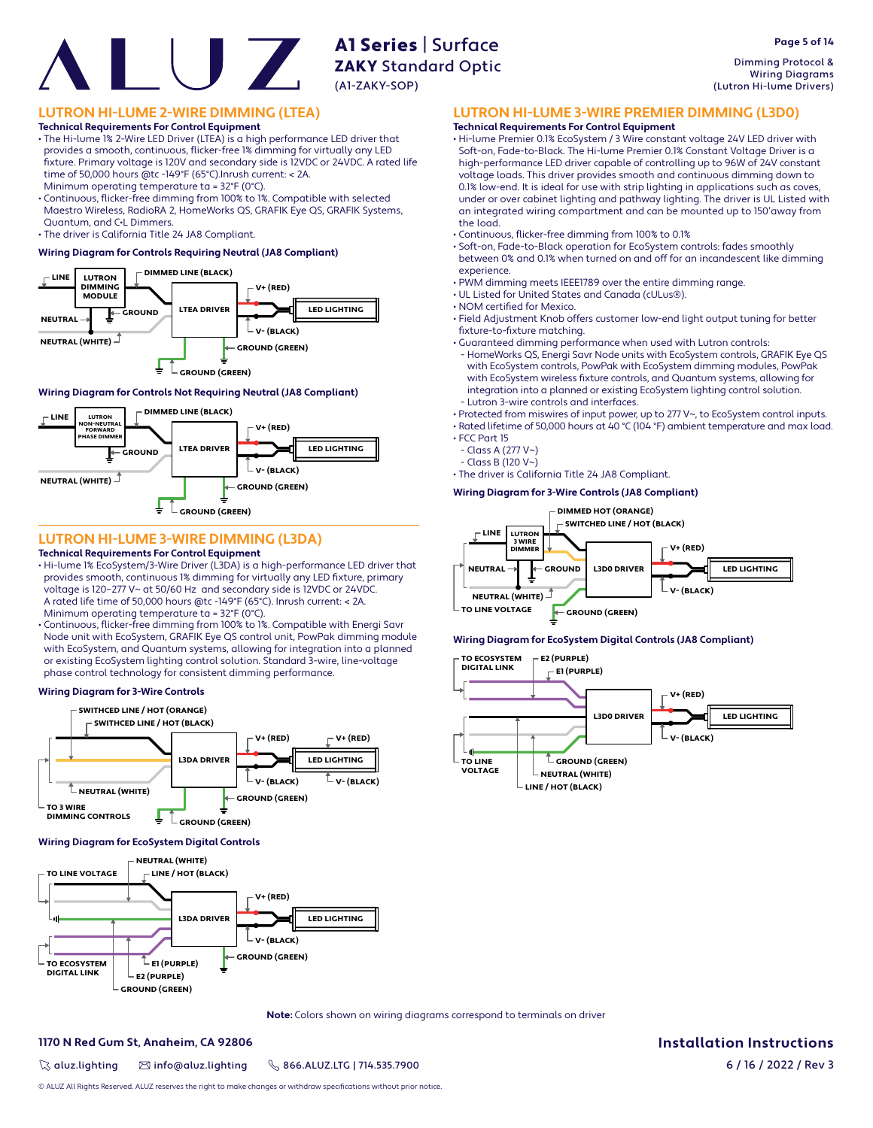Dimming Protocol & Wiring Diagrams (Lutron Hi-lume Drivers)

### **LUTRON HI-LUME 2-WIRE DIMMING (LTEA)**

**Technical Requirements For Control Equipment**

• The Hi-lume 1% 2-Wire LED Driver (LTEA) is a high performance LED driver that provides a smooth, continuous, flicker-free 1% dimming for virtually any LED fi xture. Primary voltage is 120V and secondary side is 12VDC or 24VDC. A rated life time of 50,000 hours @tc -149°F (65°C).Inrush current: < 2A.

Minimum operating temperature ta = 32°F (0°C).

• Continuous, flicker-free dimming from 100% to 1%. Compatible with selected Maestro Wireless, RadioRA 2, HomeWorks QS, GRAFIK Eye QS, GRAFIK Systems, Quantum, and C•L Dimmers.

• The driver is California Title 24 JA8 Compliant.

#### **Wiring Diagram for Controls Requiring Neutral (JA8 Compliant)**



#### **Wiring Diagram for Controls Not Requiring Neutral (JA8 Compliant)**



### **LUTRON HI-LUME 3-WIRE DIMMING (L3DA)**

#### **Technical Requirements For Control Equipment**

- Hi-lume 1% EcoSystem/3-Wire Driver (L3DA) is a high-performance LED driver that provides smooth, continuous 1% dimming for virtually any LED fixture, primary voltage is 120–277 V~ at 50/60 Hz and secondary side is 12VDC or 24VDC. A rated life time of 50,000 hours @tc -149°F (65°C). Inrush current: < 2A. Minimum operating temperature ta = 32°F (0°C).
- Continuous, flicker-free dimming from 100% to 1%. Compatible with Energi Savr Node unit with EcoSystem, GRAFIK Eye QS control unit, PowPak dimming module with EcoSystem, and Quantum systems, allowing for integration into a planned or existing EcoSystem lighting control solution. Standard 3-wire, line-voltage phase control technology for consistent dimming performance.

#### **Wiring Diagram for 3-Wire Controls**



#### **Wiring Diagram for EcoSystem Digital Controls**



**Note:** Colors shown on wiring diagrams correspond to terminals on driver

#### **1170 N Red Gum St, Anaheim, CA 92806**

 $\%$  aluz.lighting  $\%$  info@aluz.lighting  $\%$  866.ALUZ.LTG | 714.535.7900

© ALUZ All Rights Reserved. ALUZ reserves the right to make changes or withdraw specifications without prior notice.

**Installation Instructions**

6 / 16 / 2022 / Rev 3

• Continuous, flicker-free dimming from 100% to 0.1%

• Soft-on, Fade-to-Black operation for EcoSystem controls: fades smoothly between 0% and 0.1% when turned on and off for an incandescent like dimming experience.

**LUTRON HI-LUME 3-WIRE PREMIER DIMMING (L3D0)**

• Hi-lume Premier 0.1% EcoSystem / 3 Wire constant voltage 24V LED driver with Soft-on, Fade-to-Black. The Hi-lume Premier 0.1% Constant Voltage Driver is a high-performance LED driver capable of controlling up to 96W of 24V constant voltage loads. This driver provides smooth and continuous dimming down to 0.1% low-end. It is ideal for use with strip lighting in applications such as coves, under or over cabinet lighting and pathway lighting. The driver is UL Listed with an integrated wiring compartment and can be mounted up to 150'away from

- PWM dimming meets IEEE1789 over the entire dimming range.
- UL Listed for United States and Canada (cULus®).

**Technical Requirements For Control Equipment**

• NOM certified for Mexico.

the load.

- Field Adjustment Knob offers customer low-end light output tuning for better fixture-to-fixture matching.
- Guaranteed dimming performance when used with Lutron controls:
- HomeWorks QS, Energi Savr Node units with EcoSystem controls, GRAFIK Eye QS with EcoSystem controls, PowPak with EcoSystem dimming modules, PowPak with EcoSystem wireless fixture controls, and Quantum systems, allowing for integration into a planned or existing EcoSystem lighting control solution. - Lutron 3-wire controls and interfaces.

• Protected from miswires of input power, up to 277 V~, to EcoSystem control inputs.

• Rated lifetime of 50,000 hours at 40 °C (104 °F) ambient temperature and max load. • FCC Part 15

- Class A (277 V~)
- Class B (120 V~)

• The driver is California Title 24 JA8 Compliant.

**Wiring Diagram for 3-Wire Controls (JA8 Compliant)**



#### **Wiring Diagram for EcoSystem Digital Controls (JA8 Compliant)**



**Page 5 of 14**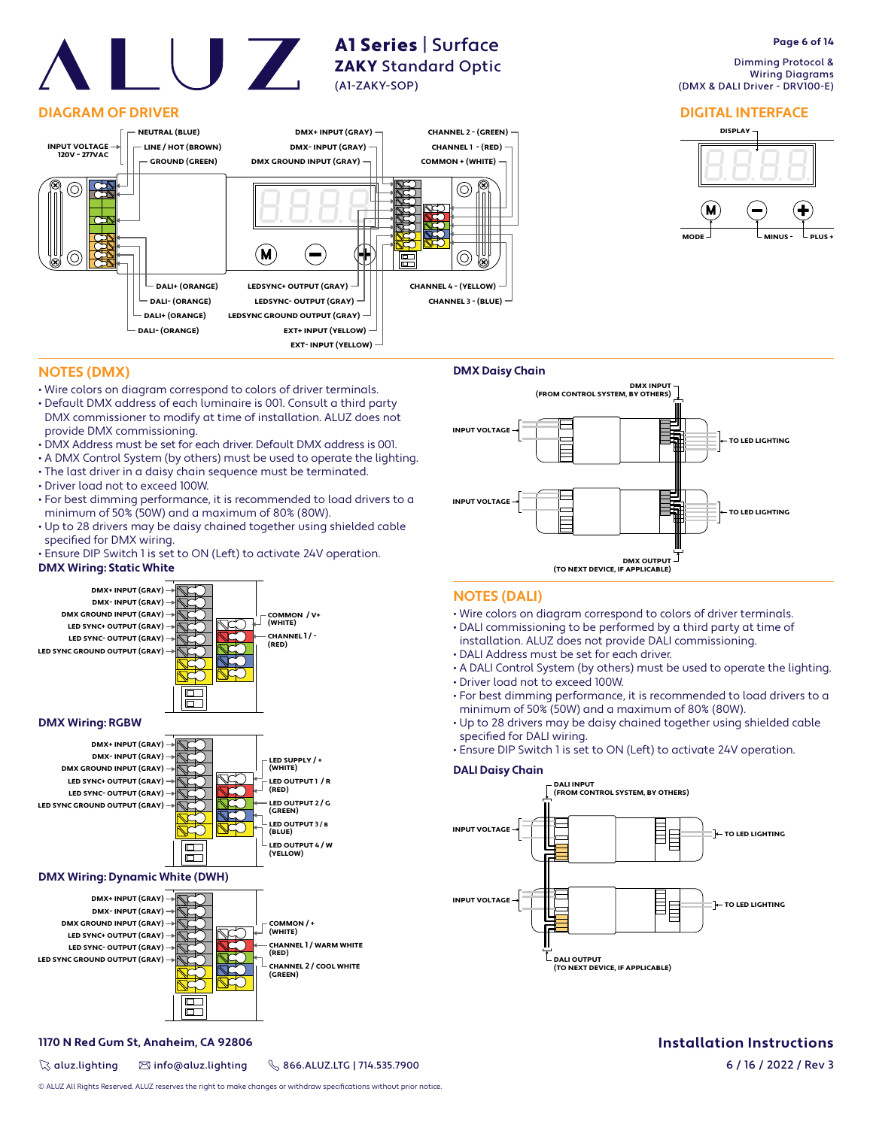### **DIAGRAM OF DRIVER**



A1 Series | Surface **ZAKY** Standard Optic

(A1-ZAKY-SOP)

# **Page 6 of 14**

 Dimming Protocol & Wiring Diagrams (DMX & DALI Driver - DRV100-E)

#### **DIGITAL INTERFACE**



### **NOTES (DMX)**

- Wire colors on diagram correspond to colors of driver terminals.
- Default DMX address of each luminaire is 001. Consult a third party DMX commissioner to modify at time of installation. ALUZ does not provide DMX commissioning.
- DMX Address must be set for each driver. Default DMX address is 001.
- A DMX Control System (by others) must be used to operate the lighting.
- The last driver in a daisy chain sequence must be terminated.
- Driver load not to exceed 100W.
- For best dimming performance, it is recommended to load drivers to a minimum of 50% (50W) and a maximum of 80% (80W).
- Up to 28 drivers may be daisy chained together using shielded cable specified for DMX wiring.
- Ensure DIP Switch 1 is set to ON (Left) to activate 24V operation.

#### **DMX Wiring: Static White**







#### **DMX Wiring: Dynamic White (DWH)**



### **1170 N Red Gum St, Anaheim, CA 92806**

 $\%$  aluz.lighting  $\%$  info@aluz.lighting  $\%$  866.ALUZ.LTG | 714.535.7900



#### **NOTES (DALI)**

- Wire colors on diagram correspond to colors of driver terminals.
- DALI commissioning to be performed by a third party at time of
- installation. ALUZ does not provide DALI commissioning.
- DALI Address must be set for each driver.
- A DALI Control System (by others) must be used to operate the lighting. • Driver load not to exceed 100W.
- For best dimming performance, it is recommended to load drivers to a
- minimum of 50% (50W) and a maximum of 80% (80W). • Up to 28 drivers may be daisy chained together using shielded cable specified for DALI wiring.
- Ensure DIP Switch 1 is set to ON (Left) to activate 24V operation.

#### **DALI Daisy Chain**



## **Installation Instructions**

6 / 16 / 2022 / Rev 3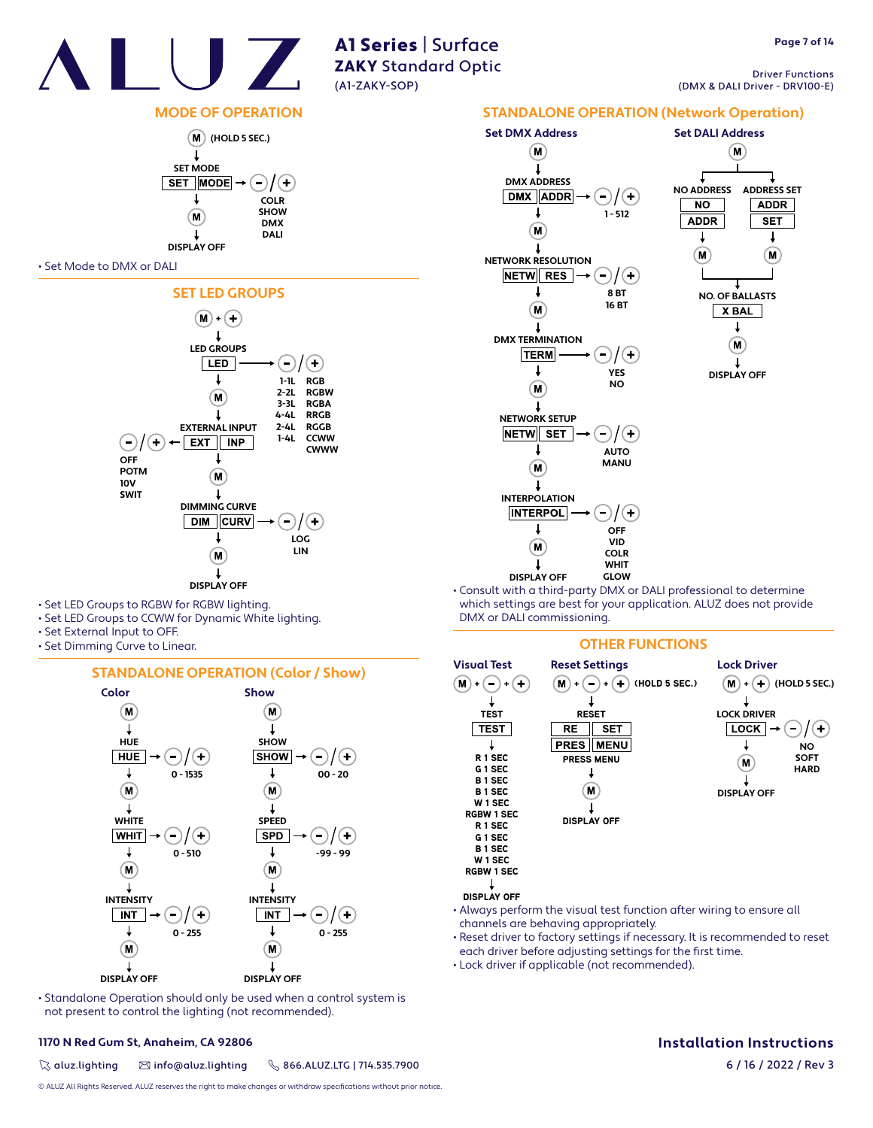

Driver Functions (DMX & DALI Driver - DRV100-E)

## **MODE OF OPERATION**



#### • Set Mode to DMX or DALI



- Set LED Groups to RGBW for RGBW lighting.
- Set LED Groups to CCWW for Dynamic White lighting.
- Set External Input to OFF.
- Set Dimming Curve to Linear.

#### **STANDALONE OPERATION (Color / Show)**



• Standalone Operation should only be used when a control system is not present to control the lighting (not recommended).

#### **1170 N Red Gum St, Anaheim, CA 92806**

 $\%$  aluz.lighting  $\%$  info@aluz.lighting  $\%$  866.ALUZ.LTG | 714.535.7900

© ALUZ All Rights Reserved. ALUZ reserves the right to make changes or withdraw specifications without prior notice.



• Consult with a third-party DMX or DALI professional to determine which settings are best for your application. ALUZ does not provide DMX or DALI commissioning.

#### **OTHER FUNCTIONS**



- Always perform the visual test function after wiring to ensure all channels are behaving appropriately.
- Reset driver to factory settings if necessary. It is recommended to reset each driver before adjusting settings for the first time.
- Lock driver if applicable (not recommended).

## **Installation Instructions**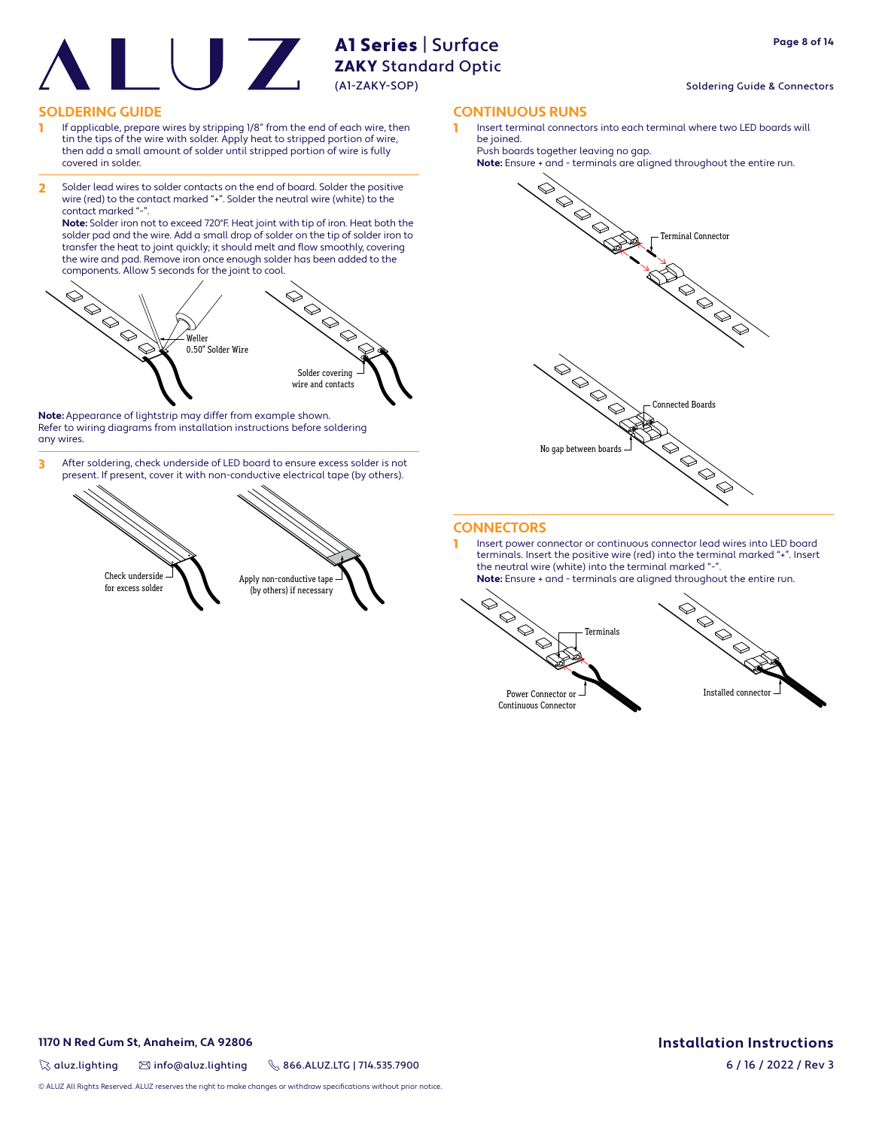#### Soldering Guide & Connectors

#### **SOLDERING GUIDE CONTINUOUS RUNS**

- 1 If applicable, prepare wires by stripping 1/8" from the end of each wire, then tin the tips of the wire with solder. Apply heat to stripped portion of wire, then add a small amount of solder until stripped portion of wire is fully covered in solder.
- 2 Solder lead wires to solder contacts on the end of board. Solder the positive wire (red) to the contact marked "+". Solder the neutral wire (white) to the contact marked "-

**Note:** Solder iron not to exceed 720°F. Heat joint with tip of iron. Heat both the solder pad and the wire. Add a small drop of solder on the tip of solder iron to transfer the heat to joint quickly; it should melt and flow smoothly, covering the wire and pad. Remove iron once enough solder has been added to the components. Allow 5 seconds for the joint to cool.



**Note:** Appearance of lightstrip may differ from example shown. Refer to wiring diagrams from installation instructions before soldering any wires.

3 After soldering, check underside of LED board to ensure excess solder is not present. If present, cover it with non-conductive electrical tape (by others).



Insert terminal connectors into each terminal where two LED boards will be joined.

Push boards together leaving no gap.





#### **CONNECTORS**

1 Insert power connector or continuous connector lead wires into LED board terminals. Insert the positive wire (red) into the terminal marked "+". Insert the neutral wire (white) into the terminal marked "-**Note:** Ensure + and - terminals are aligned throughout the entire run.

 $\otimes$  $\bigotimes$  $\Diamond$ Terminals  $\Diamond$ Power Connector or



Continuous Connector

#### **1170 N Red Gum St, Anaheim, CA 92806**

 $\%$  aluz.lighting  $\%$  info@aluz.lighting  $\%$  866.ALUZ.LTG | 714.535.7900

© ALUZ All Rights Reserved. ALUZ reserves the right to make changes or withdraw specifications without prior notice.

## **Installation Instructions**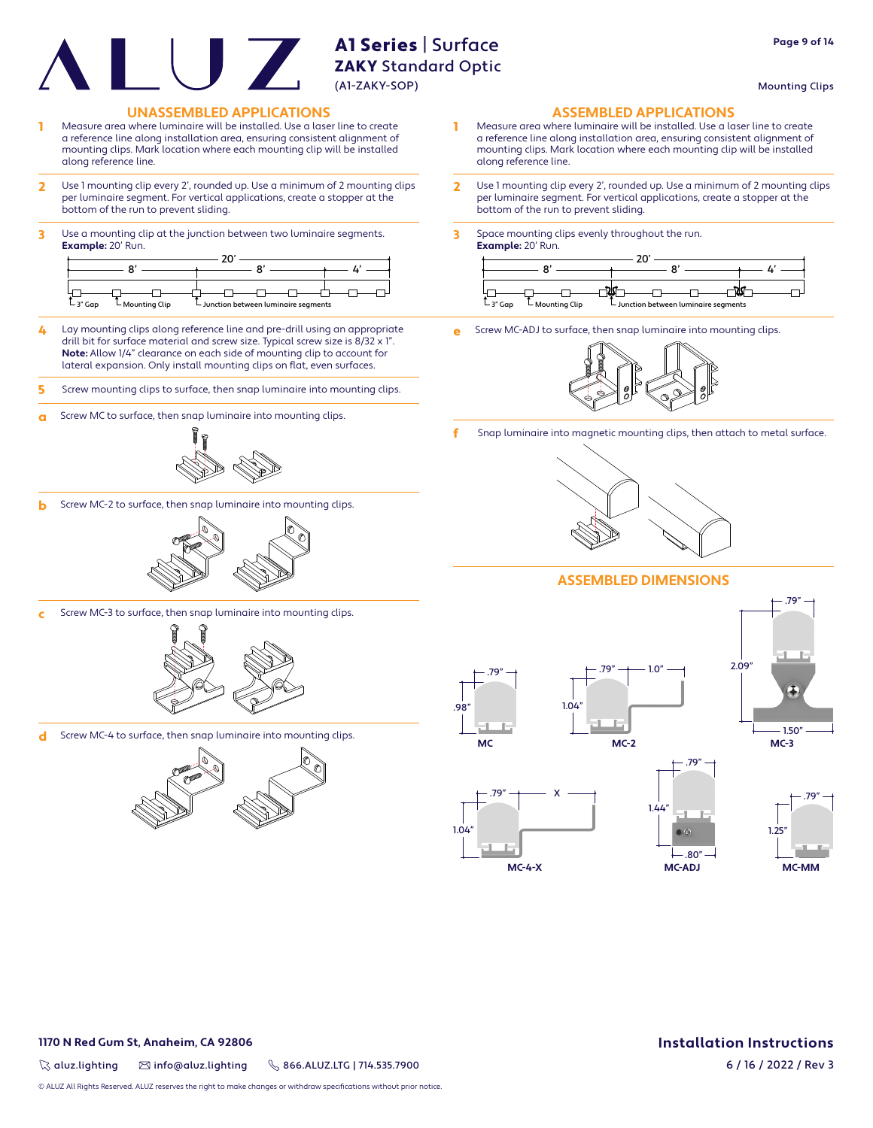Mounting Clips

**Page 9 of 14**

#### **UNASSEMBLED APPLICATIONS ASSEMBLED APPLICATIONS**

- Measure area where luminaire will be installed. Use a laser line to create a reference line along installation area, ensuring consistent alignment of mounting clips. Mark location where each mounting clip will be installed along reference line.
- 2 Use 1 mounting clip every 2', rounded up. Use a minimum of 2 mounting clips per luminaire segment. For vertical applications, create a stopper at the bottom of the run to prevent sliding.
- 3 Use a mounting clip at the junction between two luminaire segments. **Example:** 20' Run.

| $-3$ " Gap<br>- Mounting Clip | └ Junction between luminaire segments |  |
|-------------------------------|---------------------------------------|--|

- 4 Lay mounting clips along reference line and pre-drill using an appropriate drill bit for surface material and screw size. Typical screw size is 8/32 x 1". **Note:** Allow 1/4" clearance on each side of mounting clip to account for lateral expansion. Only install mounting clips on flat, even surfaces.
- 5 Screw mounting clips to surface, then snap luminaire into mounting clips.
- **a** Screw MC to surface, then snap luminaire into mounting clips.



**b** Screw MC-2 to surface, then snap luminaire into mounting clips.



c Screw MC-3 to surface, then snap luminaire into mounting clips.



d Screw MC-4 to surface, then snap luminaire into mounting clips.



- 1 Measure area where luminaire will be installed. Use a laser line to create a reference line along installation area, ensuring consistent alignment of mounting clips. Mark location where each mounting clip will be installed along reference line.
- 2 Use 1 mounting clip every 2', rounded up. Use a minimum of 2 mounting clips per luminaire segment. For vertical applications, create a stopper at the bottom of the run to prevent sliding.
- 3 Space mounting clips evenly throughout the run. **Example:** 20' Run.



Screw MC-ADJ to surface, then snap luminaire into mounting clips.



f Snap luminaire into magnetic mounting clips, then attach to metal surface.



#### **ASSEMBLED DIMENSIONS**

**MC-2**

1.44"





.79"



 $-.80"$ .79" **MC-ADJ** .79" 1.25" **MC-MM**

**1170 N Red Gum St, Anaheim, CA 92806**

 $\%$  aluz.lighting  $\%$  info@aluz.lighting  $\%$  866.ALUZ.LTG | 714.535.7900

**Installation Instructions**

© ALUZ All Rights Reserved. ALUZ reserves the right to make changes or withdraw specifications without prior notice.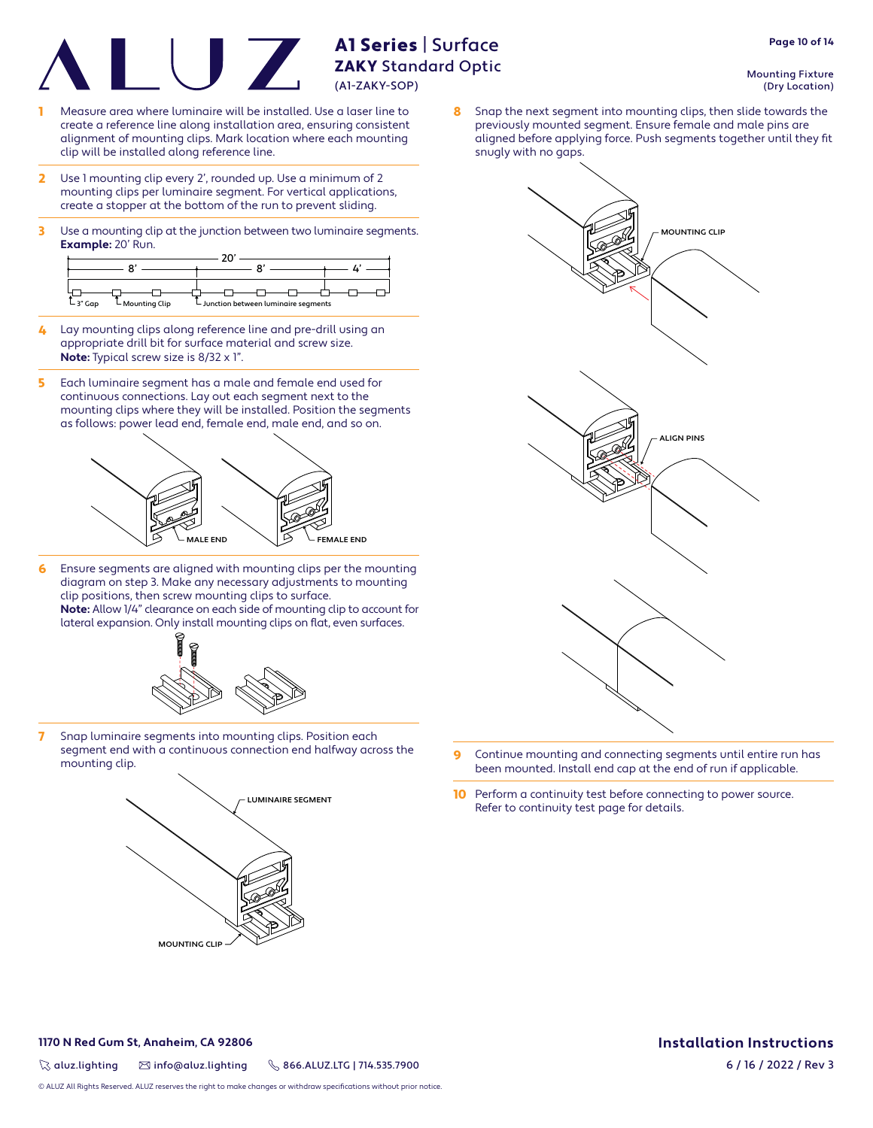- Measure area where luminaire will be installed. Use a laser line to create a reference line along installation area, ensuring consistent alignment of mounting clips. Mark location where each mounting clip will be installed along reference line.
- 2 Use 1 mounting clip every 2', rounded up. Use a minimum of 2 mounting clips per luminaire segment. For vertical applications, create a stopper at the bottom of the run to prevent sliding.
- 3 Use a mounting clip at the junction between two luminaire segments. **Example:** 20' Run.

| $L_3$ " Gap<br>$\mathsf{\mathsf{L}}$ Mounting Clip | └ Junction between luminaire segments |  |
|----------------------------------------------------|---------------------------------------|--|

- 4 Lay mounting clips along reference line and pre-drill using an appropriate drill bit for surface material and screw size. **Note:** Typical screw size is 8/32 x 1".
- 5 Each luminaire segment has a male and female end used for continuous connections. Lay out each segment next to the mounting clips where they will be installed. Position the segments as follows: power lead end, female end, male end, and so on.



6 Ensure segments are aligned with mounting clips per the mounting diagram on step 3. Make any necessary adjustments to mounting clip positions, then screw mounting clips to surface. **Note:** Allow 1/4" clearance on each side of mounting clip to account for lateral expansion. Only install mounting clips on flat, even surfaces.



7 Snap luminaire segments into mounting clips. Position each segment end with a continuous connection end halfway across the



Mounting Fixture

**Page 10 of 14**

8 Snap the next segment into mounting clips, then slide towards the previously mounted segment. Ensure female and male pins are aligned before applying force. Push segments together until they fit snugly with no gaps.



- segment end with a continuous connection end haltway across the  $\overline{9}$  Continue mounting and connecting segments until entire run has mounting clip. been mounted. Install end cap at the end of run if applicable.
	- 10 Perform a continuity test before connecting to power source. Refer to continuity test page for details.

#### **1170 N Red Gum St, Anaheim, CA 92806**

 $\%$  aluz.lighting  $\%$  info@aluz.lighting  $\%$  866.ALUZ.LTG | 714.535.7900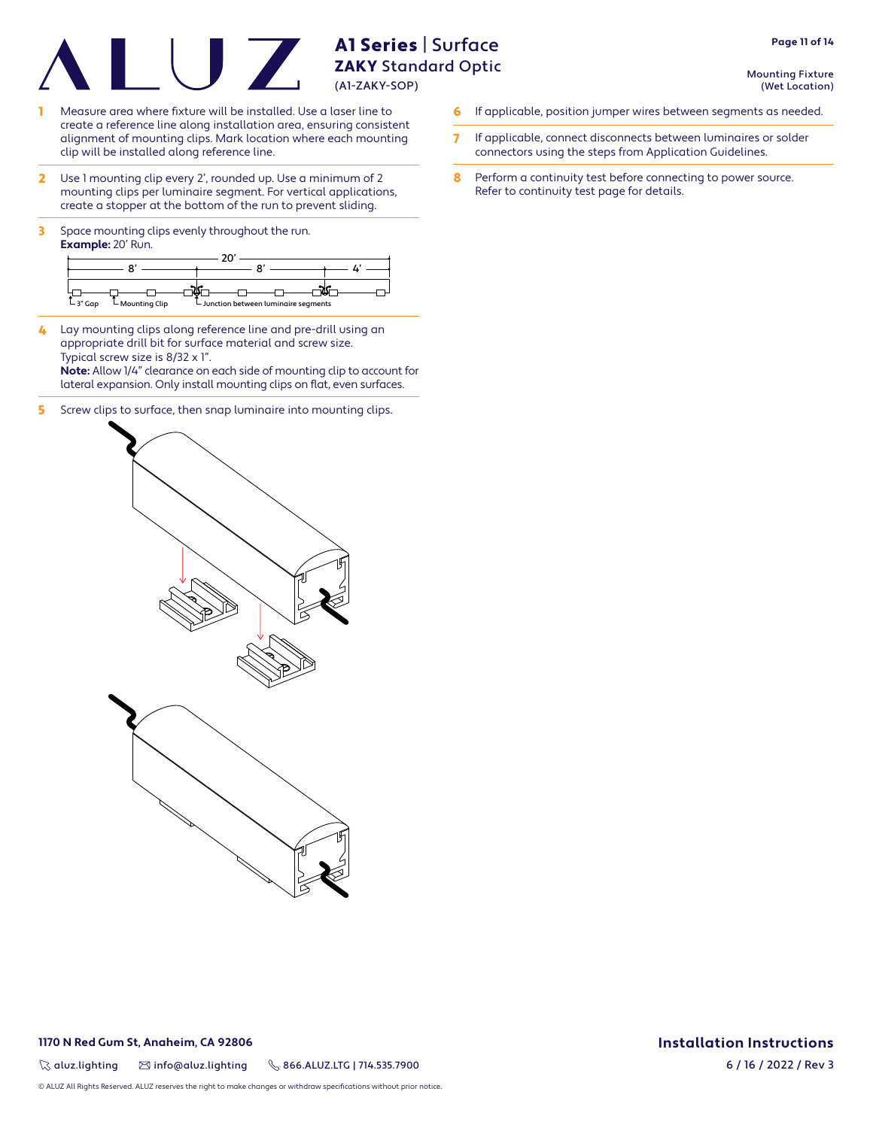Mounting Fixture (Wet Location)

**Page 11 of 14**

- Measure area where fixture will be installed. Use a laser line to create a reference line along installation area, ensuring consistent alignment of mounting clips. Mark location where each mounting clip will be installed along reference line.
- 2 Use 1 mounting clip every 2', rounded up. Use a minimum of 2 mounting clips per luminaire segment. For vertical applications, create a stopper at the bottom of the run to prevent sliding.
- **3** Space mounting clips evenly throughout the run. **Example:** 20' Run.



- 4 Lay mounting clips along reference line and pre-drill using an appropriate drill bit for surface material and screw size. Typical screw size is 8/32 x 1". **Note:** Allow 1/4" clearance on each side of mounting clip to account for lateral expansion. Only install mounting clips on flat, even surfaces.
- 5 Screw clips to surface, then snap luminaire into mounting clips.
- **6** If applicable, position jumper wires between segments as needed.
- 7 If applicable, connect disconnects between luminaires or solder connectors using the steps from Application Guidelines.
- 8 Perform a continuity test before connecting to power source. Refer to continuity test page for details.



#### **1170 N Red Gum St, Anaheim, CA 92806**

 $\%$  aluz.lighting  $\%$  info@aluz.lighting  $\%$  866.ALUZ.LTG | 714.535.7900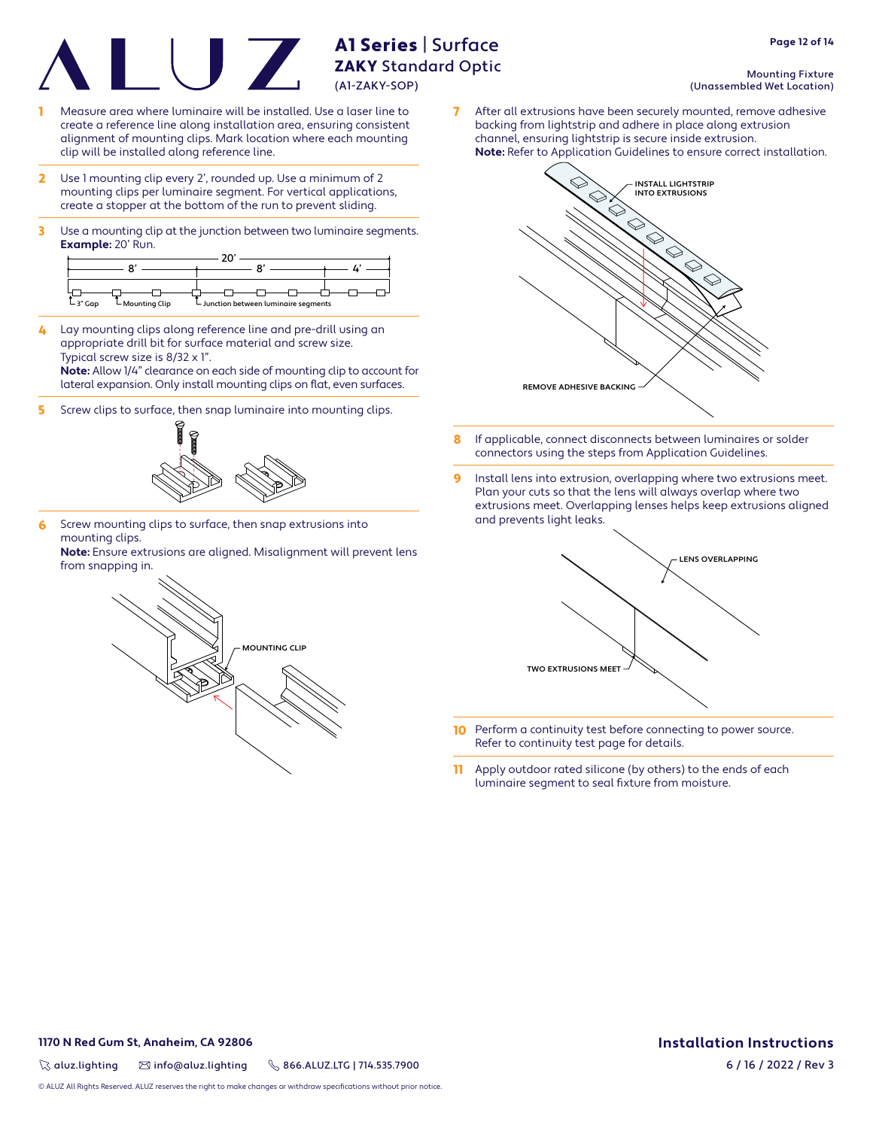- Measure area where luminaire will be installed. Use a laser line to create a reference line along installation area, ensuring consistent alignment of mounting clips. Mark location where each mounting clip will be installed along reference line.
- 2 Use 1 mounting clip every 2', rounded up. Use a minimum of 2 mounting clips per luminaire segment. For vertical applications, create a stopper at the bottom of the run to prevent sliding.
- 3 Use a mounting clip at the junction between two luminaire segments. **Example:** 20' Run.

| $L_3$ " Gap<br>$\mathsf{\mathsf{L}}$ Mounting Clip | └ Junction between luminaire segments |  |
|----------------------------------------------------|---------------------------------------|--|

4 Lay mounting clips along reference line and pre-drill using an appropriate drill bit for surface material and screw size. Typical screw size is 8/32 x 1". **Note:** Allow 1/4" clearance on each side of mounting clip to account for

lateral expansion. Only install mounting clips on flat, even surfaces.

5 Screw clips to surface, then snap luminaire into mounting clips.



6 Screw mounting clips to surface, then snap extrusions into mounting clips.

**Note:** Ensure extrusions are aligned. Misalignment will prevent lens from snapping in.



Mounting Fixture

(Unassembled Wet Location)

7 After all extrusions have been securely mounted, remove adhesive backing from lightstrip and adhere in place along extrusion channel, ensuring lightstrip is secure inside extrusion. **Note:** Refer to Application Guidelines to ensure correct installation.



- 8 If applicable, connect disconnects between luminaires or solder connectors using the steps from Application Guidelines.
- **9** Install lens into extrusion, overlapping where two extrusions meet. Plan your cuts so that the lens will always overlap where two extrusions meet. Overlapping lenses helps keep extrusions aligned and prevents light leaks.



- **10** Perform a continuity test before connecting to power source. Refer to continuity test page for details.
- 11 Apply outdoor rated silicone (by others) to the ends of each luminaire segment to seal fixture from moisture.

### **1170 N Red Gum St, Anaheim, CA 92806**

 $\%$  aluz.lighting  $\%$  info@aluz.lighting  $\%$  866.ALUZ.LTG | 714.535.7900

**Installation Instructions** 6 / 16 / 2022 / Rev 3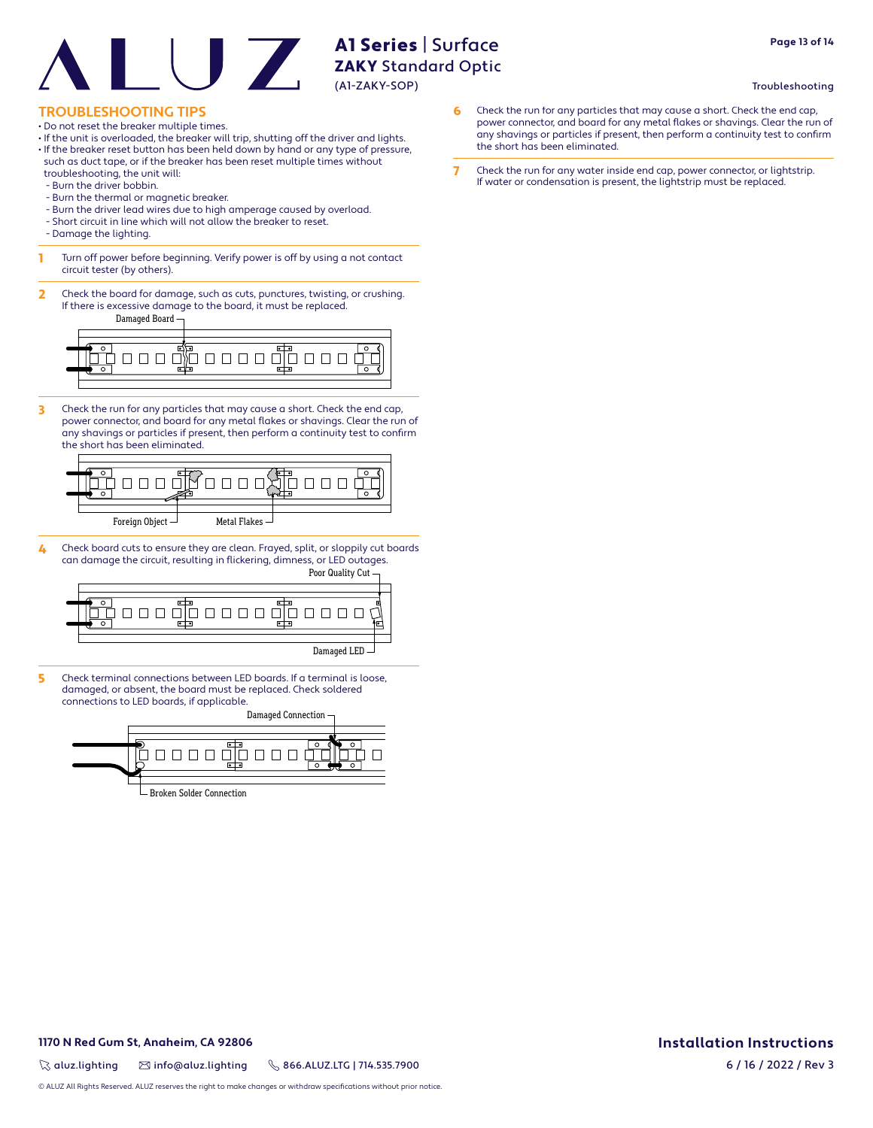# **Page 13 of 14**

#### Troubleshooting

#### **TROUBLESHOOTING TIPS**

- Do not reset the breaker multiple times.
- If the unit is overloaded, the breaker will trip, shutting off the driver and lights.
- If the breaker reset button has been held down by hand or any type of pressure, such as duct tape, or if the breaker has been reset multiple times without troubleshooting, the unit will:
- Burn the driver bobbin.
- Burn the thermal or magnetic breaker.
- Burn the driver lead wires due to high amperage caused by overload.
- Short circuit in line which will not allow the breaker to reset.
- Damage the lighting.
- **1** Turn off power before beginning. Verify power is off by using a not contact circuit tester (by others).
- 2 Check the board for damage, such as cuts, punctures, twisting, or crushing. If there is excessive damage to the board, it must be replaced.

Damaged Board



3 Check the run for any particles that may cause a short. Check the end cap, power connector, and board for any metal flakes or shavings. Clear the run of any shavings or particles if present, then perform a continuity test to confirm the short has been eliminated.



4 Check board cuts to ensure they are clean. Frayed, split, or sloppily cut boards can damage the circuit, resulting in flickering, dimness, or LED outages.



5 Check terminal connections between LED boards. If a terminal is loose, damaged, or absent, the board must be replaced. Check soldered connections to LED boards, if applicable.

Damaged Connection 000000000 Broken Solder Connection

- 6 Check the run for any particles that may cause a short. Check the end cap, power connector, and board for any metal flakes or shavings. Clear the run of any shavings or particles if present, then perform a continuity test to confirm the short has been eliminated.
- 7 Check the run for any water inside end cap, power connector, or lightstrip. If water or condensation is present, the lightstrip must be replaced.

#### **1170 N Red Gum St, Anaheim, CA 92806**

 $\%$  aluz.lighting  $\%$  info@aluz.lighting  $\%$  866.ALUZ.LTG | 714.535.7900

© ALUZ All Rights Reserved. ALUZ reserves the right to make changes or withdraw specifications without prior notice.

## **Installation Instructions**